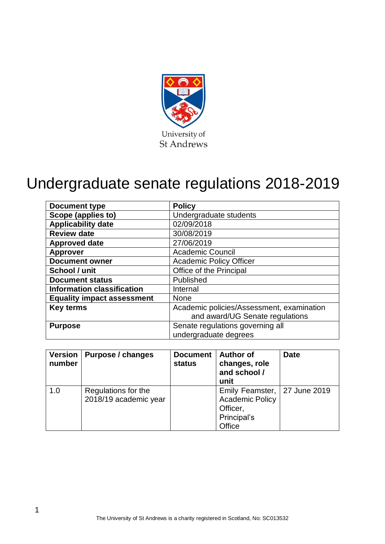

# Undergraduate senate regulations 2018-2019

| <b>Document type</b>              | <b>Policy</b>                             |  |
|-----------------------------------|-------------------------------------------|--|
| Scope (applies to)                | Undergraduate students                    |  |
| <b>Applicability date</b>         | 02/09/2018                                |  |
| <b>Review date</b>                | 30/08/2019                                |  |
| <b>Approved date</b>              | 27/06/2019                                |  |
| <b>Approver</b>                   | <b>Academic Council</b>                   |  |
| <b>Document owner</b>             | <b>Academic Policy Officer</b>            |  |
| School / unit                     | Office of the Principal                   |  |
| <b>Document status</b>            | Published                                 |  |
| <b>Information classification</b> | Internal                                  |  |
| <b>Equality impact assessment</b> | <b>None</b>                               |  |
| <b>Key terms</b>                  | Academic policies/Assessment, examination |  |
|                                   | and award/UG Senate regulations           |  |
| <b>Purpose</b>                    | Senate regulations governing all          |  |
|                                   | undergraduate degrees                     |  |

| <b>Version</b><br>number | Purpose / changes                            | <b>Document</b><br>status | <b>Author of</b><br>changes, role<br>and school /<br>unit                                     | <b>Date</b> |
|--------------------------|----------------------------------------------|---------------------------|-----------------------------------------------------------------------------------------------|-------------|
| 1.0                      | Regulations for the<br>2018/19 academic year |                           | Emily Feamster,   27 June 2019<br><b>Academic Policy</b><br>Officer,<br>Principal's<br>Office |             |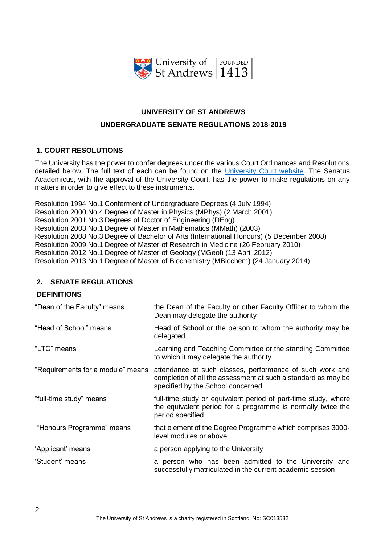

# **UNIVERSITY OF ST ANDREWS UNDERGRADUATE SENATE REGULATIONS 2018-2019**

# **1. COURT RESOLUTIONS**

The University has the power to confer degrees under the various Court Ordinances and Resolutions detailed below. The full text of each can be found on the [University Court website.](https://www.st-andrews.ac.uk/about/governance/court/) The Senatus Academicus, with the approval of the University Court, has the power to make regulations on any matters in order to give effect to these instruments.

Resolution 1994 No.1 Conferment of Undergraduate Degrees (4 July 1994) Resolution 2000 No.4 Degree of Master in Physics (MPhys) (2 March 2001) Resolution 2001 No.3 Degrees of Doctor of Engineering (DEng) Resolution 2003 No.1 Degree of Master in Mathematics (MMath) (2003) Resolution 2008 No.3 Degree of Bachelor of Arts (International Honours) (5 December 2008) Resolution 2009 No.1 Degree of Master of Research in Medicine (26 February 2010) Resolution 2012 No.1 Degree of Master of Geology (MGeol) (13 April 2012) Resolution 2013 No.1 Degree of Master of Biochemistry (MBiochem) (24 January 2014)

# **2. SENATE REGULATIONS**

# **DEFINITIONS**

| "Dean of the Faculty" means       | the Dean of the Faculty or other Faculty Officer to whom the<br>Dean may delegate the authority                                                                |  |  |
|-----------------------------------|----------------------------------------------------------------------------------------------------------------------------------------------------------------|--|--|
| "Head of School" means            | Head of School or the person to whom the authority may be<br>delegated                                                                                         |  |  |
| "LTC" means                       | Learning and Teaching Committee or the standing Committee<br>to which it may delegate the authority                                                            |  |  |
| "Requirements for a module" means | attendance at such classes, performance of such work and<br>completion of all the assessment at such a standard as may be<br>specified by the School concerned |  |  |
| "full-time study" means           | full-time study or equivalent period of part-time study, where<br>the equivalent period for a programme is normally twice the<br>period specified              |  |  |
| "Honours Programme" means         | that element of the Degree Programme which comprises 3000-<br>level modules or above                                                                           |  |  |
| 'Applicant' means                 | a person applying to the University                                                                                                                            |  |  |
| 'Student' means                   | a person who has been admitted to the University and<br>successfully matriculated in the current academic session                                              |  |  |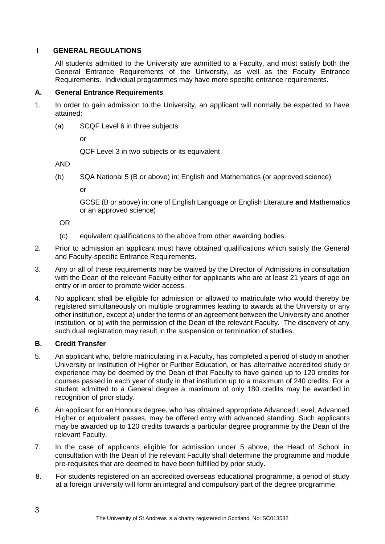# **I GENERAL REGULATIONS**

All students admitted to the University are admitted to a Faculty, and must satisfy both the General Entrance Requirements of the University, as well as the Faculty Entrance Requirements. Individual programmes may have more specific entrance requirements.

#### **A. General Entrance Requirements**

- 1. In order to gain admission to the University, an applicant will normally be expected to have attained:
	- (a) SCQF Level 6 in three subjects

or

QCF Level 3 in two subjects or its equivalent

AND

(b) SQA National 5 (B or above) in: English and Mathematics (or approved science)

or

GCSE (B or above) in: one of English Language or English Literature **and** Mathematics or an approved science)

OR

- (c) equivalent qualifications to the above from other awarding bodies.
- 2. Prior to admission an applicant must have obtained qualifications which satisfy the General and Faculty-specific Entrance Requirements.
- 3. Any or all of these requirements may be waived by the Director of Admissions in consultation with the Dean of the relevant Faculty either for applicants who are at least 21 years of age on entry or in order to promote wider access.
- 4. No applicant shall be eligible for admission or allowed to matriculate who would thereby be registered simultaneously on multiple programmes leading to awards at the University or any other institution, except a) under the terms of an agreement between the University and another institution, or b) with the permission of the Dean of the relevant Faculty. The discovery of any such dual registration may result in the suspension or termination of studies.

# **B. Credit Transfer**

- 5. An applicant who, before matriculating in a Faculty, has completed a period of study in another University or Institution of Higher or Further Education, or has alternative accredited study or experience may be deemed by the Dean of that Faculty to have gained up to 120 credits for courses passed in each year of study in that institution up to a maximum of 240 credits. For a student admitted to a General degree a maximum of only 180 credits may be awarded in recognition of prior study.
- 6. An applicant for an Honours degree, who has obtained appropriate Advanced Level, Advanced Higher or equivalent passes, may be offered entry with advanced standing. Such applicants may be awarded up to 120 credits towards a particular degree programme by the Dean of the relevant Faculty.
- 7. In the case of applicants eligible for admission under 5 above, the Head of School in consultation with the Dean of the relevant Faculty shall determine the programme and module pre-requisites that are deemed to have been fulfilled by prior study.
- 8. For students registered on an accredited overseas educational programme, a period of study at a foreign university will form an integral and compulsory part of the degree programme.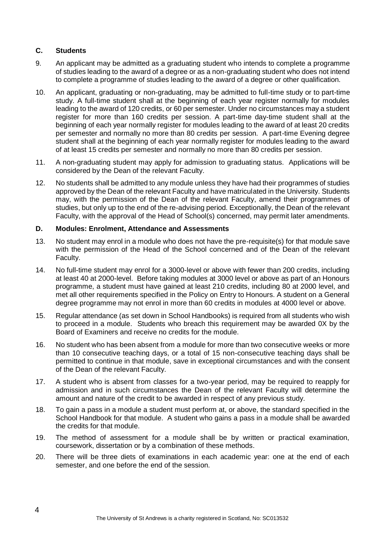# **C. Students**

- 9. An applicant may be admitted as a graduating student who intends to complete a programme of studies leading to the award of a degree or as a non-graduating student who does not intend to complete a programme of studies leading to the award of a degree or other qualification.
- 10. An applicant, graduating or non-graduating, may be admitted to full-time study or to part-time study. A full-time student shall at the beginning of each year register normally for modules leading to the award of 120 credits, or 60 per semester. Under no circumstances may a student register for more than 160 credits per session. A part-time day-time student shall at the beginning of each year normally register for modules leading to the award of at least 20 credits per semester and normally no more than 80 credits per session. A part-time Evening degree student shall at the beginning of each year normally register for modules leading to the award of at least 15 credits per semester and normally no more than 80 credits per session.
- 11. A non-graduating student may apply for admission to graduating status. Applications will be considered by the Dean of the relevant Faculty.
- 12. No students shall be admitted to any module unless they have had their programmes of studies approved by the Dean of the relevant Faculty and have matriculated in the University. Students may, with the permission of the Dean of the relevant Faculty, amend their programmes of studies, but only up to the end of the re-advising period. Exceptionally, the Dean of the relevant Faculty, with the approval of the Head of School(s) concerned, may permit later amendments.

# **D. Modules: Enrolment, Attendance and Assessments**

- 13. No student may enrol in a module who does not have the pre-requisite(s) for that module save with the permission of the Head of the School concerned and of the Dean of the relevant Faculty.
- 14. No full-time student may enrol for a 3000-level or above with fewer than 200 credits, including at least 40 at 2000-level. Before taking modules at 3000 level or above as part of an Honours programme, a student must have gained at least 210 credits, including 80 at 2000 level, and met all other requirements specified in the Policy on Entry to Honours. A student on a General degree programme may not enrol in more than 60 credits in modules at 4000 level or above.
- 15. Regular attendance (as set down in School Handbooks) is required from all students who wish to proceed in a module. Students who breach this requirement may be awarded 0X by the Board of Examiners and receive no credits for the module.
- 16. No student who has been absent from a module for more than two consecutive weeks or more than 10 consecutive teaching days, or a total of 15 non-consecutive teaching days shall be permitted to continue in that module, save in exceptional circumstances and with the consent of the Dean of the relevant Faculty.
- 17. A student who is absent from classes for a two-year period, may be required to reapply for admission and in such circumstances the Dean of the relevant Faculty will determine the amount and nature of the credit to be awarded in respect of any previous study.
- 18. To gain a pass in a module a student must perform at, or above, the standard specified in the School Handbook for that module. A student who gains a pass in a module shall be awarded the credits for that module.
- 19. The method of assessment for a module shall be by written or practical examination, coursework, dissertation or by a combination of these methods.
- 20. There will be three diets of examinations in each academic year: one at the end of each semester, and one before the end of the session.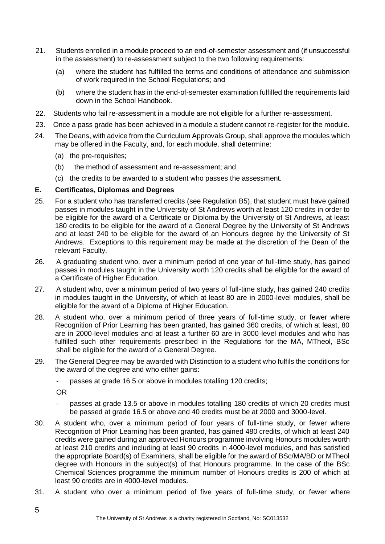- 21. Students enrolled in a module proceed to an end-of-semester assessment and (if unsuccessful in the assessment) to re-assessment subject to the two following requirements:
	- (a) where the student has fulfilled the terms and conditions of attendance and submission of work required in the School Regulations; and
	- (b) where the student has in the end-of-semester examination fulfilled the requirements laid down in the School Handbook.
- 22. Students who fail re-assessment in a module are not eligible for a further re-assessment.
- 23. Once a pass grade has been achieved in a module a student cannot re-register for the module.
- 24. The Deans, with advice from the Curriculum Approvals Group, shall approve the modules which may be offered in the Faculty, and, for each module, shall determine:
	- (a) the pre-requisites;
	- (b) the method of assessment and re-assessment; and
	- (c) the credits to be awarded to a student who passes the assessment.

#### **E. Certificates, Diplomas and Degrees**

- 25. For a student who has transferred credits (see Regulation B5), that student must have gained passes in modules taught in the University of St Andrews worth at least 120 credits in order to be eligible for the award of a Certificate or Diploma by the University of St Andrews, at least 180 credits to be eligible for the award of a General Degree by the University of St Andrews and at least 240 to be eligible for the award of an Honours degree by the University of St Andrews. Exceptions to this requirement may be made at the discretion of the Dean of the relevant Faculty.
- 26. A graduating student who, over a minimum period of one year of full-time study, has gained passes in modules taught in the University worth 120 credits shall be eligible for the award of a Certificate of Higher Education.
- 27. A student who, over a minimum period of two years of full-time study, has gained 240 credits in modules taught in the University, of which at least 80 are in 2000-level modules, shall be eligible for the award of a Diploma of Higher Education.
- 28. A student who, over a minimum period of three years of full-time study, or fewer where Recognition of Prior Learning has been granted, has gained 360 credits, of which at least, 80 are in 2000-level modules and at least a further 60 are in 3000-level modules and who has fulfilled such other requirements prescribed in the Regulations for the MA, MTheol, BSc shall be eligible for the award of a General Degree.
- 29. The General Degree may be awarded with Distinction to a student who fulfils the conditions for the award of the degree and who either gains:
	- passes at grade 16.5 or above in modules totalling 120 credits;

OR

- passes at grade 13.5 or above in modules totalling 180 credits of which 20 credits must be passed at grade 16.5 or above and 40 credits must be at 2000 and 3000-level.
- 30. A student who, over a minimum period of four years of full-time study, or fewer where Recognition of Prior Learning has been granted, has gained 480 credits, of which at least 240 credits were gained during an approved Honours programme involving Honours modules worth at least 210 credits and including at least 90 credits in 4000-level modules, and has satisfied the appropriate Board(s) of Examiners, shall be eligible for the award of BSc/MA/BD or MTheol degree with Honours in the subject(s) of that Honours programme. In the case of the BSc Chemical Sciences programme the minimum number of Honours credits is 200 of which at least 90 credits are in 4000-level modules.
- 31. A student who over a minimum period of five years of full-time study, or fewer where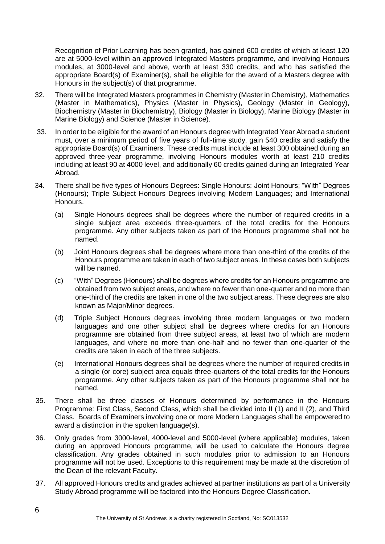Recognition of Prior Learning has been granted, has gained 600 credits of which at least 120 are at 5000-level within an approved Integrated Masters programme, and involving Honours modules, at 3000-level and above, worth at least 330 credits, and who has satisfied the appropriate Board(s) of Examiner(s), shall be eligible for the award of a Masters degree with Honours in the subject(s) of that programme.

- 32. There will be Integrated Masters programmes in Chemistry (Master in Chemistry), Mathematics (Master in Mathematics), Physics (Master in Physics), Geology (Master in Geology), Biochemistry (Master in Biochemistry), Biology (Master in Biology), Marine Biology (Master in Marine Biology) and Science (Master in Science).
- 33. In order to be eligible for the award of an Honours degree with Integrated Year Abroad a student must, over a minimum period of five years of full-time study, gain 540 credits and satisfy the appropriate Board(s) of Examiners. These credits must include at least 300 obtained during an approved three-year programme, involving Honours modules worth at least 210 credits including at least 90 at 4000 level, and additionally 60 credits gained during an Integrated Year Abroad.
- 34. There shall be five types of Honours Degrees: Single Honours; Joint Honours; "With" Degrees (Honours); Triple Subject Honours Degrees involving Modern Languages; and International Honours.
	- (a) Single Honours degrees shall be degrees where the number of required credits in a single subject area exceeds three-quarters of the total credits for the Honours programme. Any other subjects taken as part of the Honours programme shall not be named.
	- (b) Joint Honours degrees shall be degrees where more than one-third of the credits of the Honours programme are taken in each of two subject areas. In these cases both subjects will be named.
	- (c) "With" Degrees (Honours) shall be degrees where credits for an Honours programme are obtained from two subject areas, and where no fewer than one-quarter and no more than one-third of the credits are taken in one of the two subject areas. These degrees are also known as Major/Minor degrees.
	- (d) Triple Subject Honours degrees involving three modern languages or two modern languages and one other subject shall be degrees where credits for an Honours programme are obtained from three subject areas, at least two of which are modern languages, and where no more than one-half and no fewer than one-quarter of the credits are taken in each of the three subjects.
	- (e) International Honours degrees shall be degrees where the number of required credits in a single (or core) subject area equals three-quarters of the total credits for the Honours programme. Any other subjects taken as part of the Honours programme shall not be named.
- 35. There shall be three classes of Honours determined by performance in the Honours Programme: First Class, Second Class, which shall be divided into II (1) and II (2), and Third Class. Boards of Examiners involving one or more Modern Languages shall be empowered to award a distinction in the spoken language(s).
- 36. Only grades from 3000-level, 4000-level and 5000-level (where applicable) modules, taken during an approved Honours programme, will be used to calculate the Honours degree classification. Any grades obtained in such modules prior to admission to an Honours programme will not be used. Exceptions to this requirement may be made at the discretion of the Dean of the relevant Faculty.
- 37. All approved Honours credits and grades achieved at partner institutions as part of a University Study Abroad programme will be factored into the Honours Degree Classification.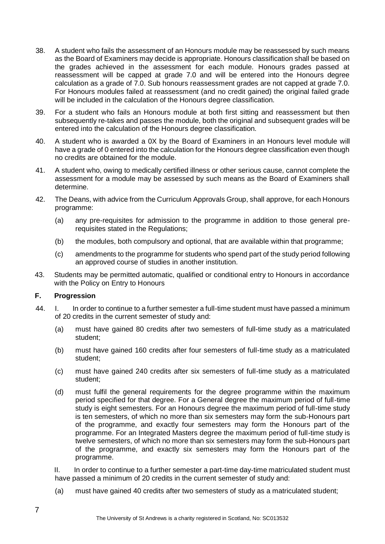- 38. A student who fails the assessment of an Honours module may be reassessed by such means as the Board of Examiners may decide is appropriate. Honours classification shall be based on the grades achieved in the assessment for each module. Honours grades passed at reassessment will be capped at grade 7.0 and will be entered into the Honours degree calculation as a grade of 7.0. Sub honours reassessment grades are not capped at grade 7.0. For Honours modules failed at reassessment (and no credit gained) the original failed grade will be included in the calculation of the Honours degree classification.
- 39. For a student who fails an Honours module at both first sitting and reassessment but then subsequently re-takes and passes the module, both the original and subsequent grades will be entered into the calculation of the Honours degree classification.
- 40. A student who is awarded a 0X by the Board of Examiners in an Honours level module will have a grade of 0 entered into the calculation for the Honours degree classification even though no credits are obtained for the module.
- 41. A student who, owing to medically certified illness or other serious cause, cannot complete the assessment for a module may be assessed by such means as the Board of Examiners shall determine.
- 42. The Deans, with advice from the Curriculum Approvals Group, shall approve, for each Honours programme:
	- (a) any pre-requisites for admission to the programme in addition to those general prerequisites stated in the Regulations;
	- (b) the modules, both compulsory and optional, that are available within that programme;
	- (c) amendments to the programme for students who spend part of the study period following an approved course of studies in another institution.
- 43. Students may be permitted automatic, qualified or conditional entry to Honours in accordance with the Policy on Entry to Honours

# **F. Progression**

- 44. I. In order to continue to a further semester a full-time student must have passed a minimum of 20 credits in the current semester of study and:
	- (a) must have gained 80 credits after two semesters of full-time study as a matriculated student;
	- (b) must have gained 160 credits after four semesters of full-time study as a matriculated student;
	- (c) must have gained 240 credits after six semesters of full-time study as a matriculated student;
	- (d) must fulfil the general requirements for the degree programme within the maximum period specified for that degree. For a General degree the maximum period of full-time study is eight semesters. For an Honours degree the maximum period of full-time study is ten semesters, of which no more than six semesters may form the sub-Honours part of the programme, and exactly four semesters may form the Honours part of the programme. For an Integrated Masters degree the maximum period of full-time study is twelve semesters, of which no more than six semesters may form the sub-Honours part of the programme, and exactly six semesters may form the Honours part of the programme.

II. In order to continue to a further semester a part-time day-time matriculated student must have passed a minimum of 20 credits in the current semester of study and:

(a) must have gained 40 credits after two semesters of study as a matriculated student;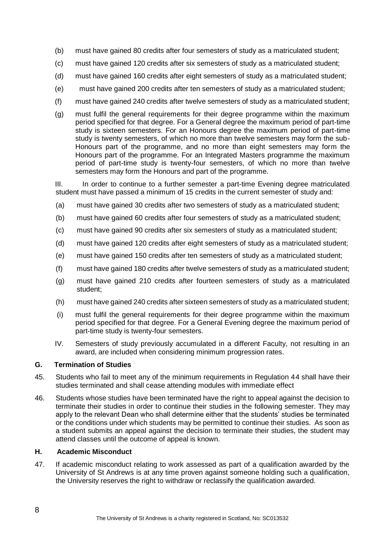- (b) must have gained 80 credits after four semesters of study as a matriculated student;
- (c) must have gained 120 credits after six semesters of study as a matriculated student;
- (d) must have gained 160 credits after eight semesters of study as a matriculated student;
- (e) must have gained 200 credits after ten semesters of study as a matriculated student;
- (f) must have gained 240 credits after twelve semesters of study as a matriculated student;
- (g) must fulfil the general requirements for their degree programme within the maximum period specified for that degree. For a General degree the maximum period of part-time study is sixteen semesters. For an Honours degree the maximum period of part-time study is twenty semesters, of which no more than twelve semesters may form the sub-Honours part of the programme, and no more than eight semesters may form the Honours part of the programme. For an Integrated Masters programme the maximum period of part-time study is twenty-four semesters, of which no more than twelve semesters may form the Honours and part of the programme.

III. In order to continue to a further semester a part-time Evening degree matriculated student must have passed a minimum of 15 credits in the current semester of study and:

- (a) must have gained 30 credits after two semesters of study as a matriculated student;
- (b) must have gained 60 credits after four semesters of study as a matriculated student;
- (c) must have gained 90 credits after six semesters of study as a matriculated student;
- (d) must have gained 120 credits after eight semesters of study as a matriculated student;
- (e) must have gained 150 credits after ten semesters of study as a matriculated student;
- (f) must have gained 180 credits after twelve semesters of study as a matriculated student;
- (g) must have gained 210 credits after fourteen semesters of study as a matriculated student;
- (h) must have gained 240 credits after sixteen semesters of study as a matriculated student;
- (i) must fulfil the general requirements for their degree programme within the maximum period specified for that degree. For a General Evening degree the maximum period of part-time study is twenty-four semesters.
- IV. Semesters of study previously accumulated in a different Faculty, not resulting in an award, are included when considering minimum progression rates.

#### **G. Termination of Studies**

- 45. Students who fail to meet any of the minimum requirements in Regulation 44 shall have their studies terminated and shall cease attending modules with immediate effect
- 46. Students whose studies have been terminated have the right to appeal against the decision to terminate their studies in order to continue their studies in the following semester. They may apply to the relevant Dean who shall determine either that the students' studies be terminated or the conditions under which students may be permitted to continue their studies. As soon as a student submits an appeal against the decision to terminate their studies, the student may attend classes until the outcome of appeal is known.

#### **H. Academic Misconduct**

47. If academic misconduct relating to work assessed as part of a qualification awarded by the University of St Andrews is at any time proven against someone holding such a qualification, the University reserves the right to withdraw or reclassify the qualification awarded.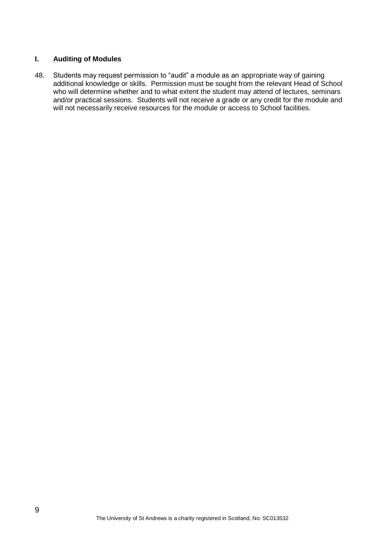# **I. Auditing of Modules**

48. Students may request permission to "audit" a module as an appropriate way of gaining additional knowledge or skills. Permission must be sought from the relevant Head of School who will determine whether and to what extent the student may attend of lectures, seminars and/or practical sessions. Students will not receive a grade or any credit for the module and will not necessarily receive resources for the module or access to School facilities.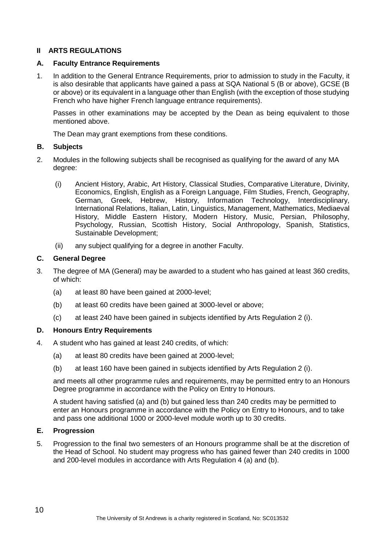# **II ARTS REGULATIONS**

#### **A. Faculty Entrance Requirements**

1. In addition to the General Entrance Requirements, prior to admission to study in the Faculty, it is also desirable that applicants have gained a pass at SQA National 5 (B or above), GCSE (B or above) or its equivalent in a language other than English (with the exception of those studying French who have higher French language entrance requirements).

Passes in other examinations may be accepted by the Dean as being equivalent to those mentioned above.

The Dean may grant exemptions from these conditions.

#### **B. Subjects**

- 2. Modules in the following subjects shall be recognised as qualifying for the award of any MA degree:
	- (i) Ancient History, Arabic, Art History, Classical Studies, Comparative Literature, Divinity, Economics, English, English as a Foreign Language, Film Studies, French, Geography, German, Greek, Hebrew, History, Information Technology, Interdisciplinary, International Relations, Italian, Latin, Linguistics, Management, Mathematics, Mediaeval History, Middle Eastern History, Modern History, Music, Persian, Philosophy, Psychology, Russian, Scottish History, Social Anthropology, Spanish, Statistics, Sustainable Development;
	- (ii) any subject qualifying for a degree in another Faculty.

#### **C. General Degree**

- 3. The degree of MA (General) may be awarded to a student who has gained at least 360 credits, of which:
	- (a) at least 80 have been gained at 2000-level;
	- (b) at least 60 credits have been gained at 3000-level or above;
	- (c) at least 240 have been gained in subjects identified by Arts Regulation 2 (i).

# **D. Honours Entry Requirements**

- 4. A student who has gained at least 240 credits, of which:
	- (a) at least 80 credits have been gained at 2000-level;
	- (b) at least 160 have been gained in subjects identified by Arts Regulation 2 (i).

and meets all other programme rules and requirements, may be permitted entry to an Honours Degree programme in accordance with the Policy on Entry to Honours.

A student having satisfied (a) and (b) but gained less than 240 credits may be permitted to enter an Honours programme in accordance with the Policy on Entry to Honours, and to take and pass one additional 1000 or 2000-level module worth up to 30 credits.

#### **E. Progression**

5. Progression to the final two semesters of an Honours programme shall be at the discretion of the Head of School. No student may progress who has gained fewer than 240 credits in 1000 and 200-level modules in accordance with Arts Regulation 4 (a) and (b).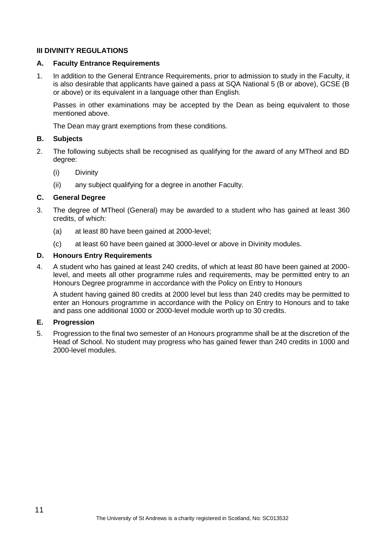# **III DIVINITY REGULATIONS**

#### **A. Faculty Entrance Requirements**

1. In addition to the General Entrance Requirements, prior to admission to study in the Faculty, it is also desirable that applicants have gained a pass at SQA National 5 (B or above), GCSE (B or above) or its equivalent in a language other than English.

Passes in other examinations may be accepted by the Dean as being equivalent to those mentioned above.

The Dean may grant exemptions from these conditions.

#### **B. Subjects**

- 2. The following subjects shall be recognised as qualifying for the award of any MTheol and BD degree:
	- (i) Divinity
	- (ii) any subject qualifying for a degree in another Faculty.

# **C. General Degree**

- 3. The degree of MTheol (General) may be awarded to a student who has gained at least 360 credits, of which:
	- (a) at least 80 have been gained at 2000-level;
	- (c) at least 60 have been gained at 3000-level or above in Divinity modules.

#### **D. Honours Entry Requirements**

4. A student who has gained at least 240 credits, of which at least 80 have been gained at 2000 level, and meets all other programme rules and requirements, may be permitted entry to an Honours Degree programme in accordance with the Policy on Entry to Honours

A student having gained 80 credits at 2000 level but less than 240 credits may be permitted to enter an Honours programme in accordance with the Policy on Entry to Honours and to take and pass one additional 1000 or 2000-level module worth up to 30 credits.

### **E. Progression**

5. Progression to the final two semester of an Honours programme shall be at the discretion of the Head of School. No student may progress who has gained fewer than 240 credits in 1000 and 2000-level modules.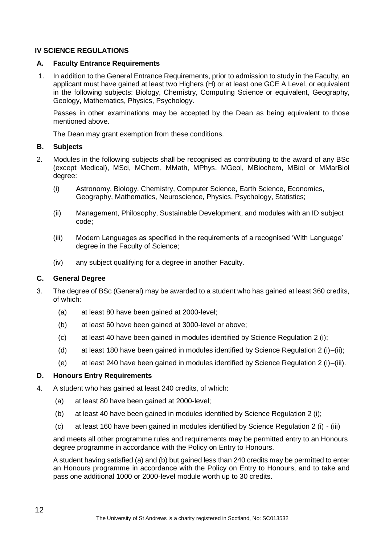# **IV SCIENCE REGULATIONS**

#### **A. Faculty Entrance Requirements**

1. In addition to the General Entrance Requirements, prior to admission to study in the Faculty, an applicant must have gained at least two Highers (H) or at least one GCE A Level, or equivalent in the following subjects: Biology, Chemistry, Computing Science or equivalent, Geography, Geology, Mathematics, Physics, Psychology.

Passes in other examinations may be accepted by the Dean as being equivalent to those mentioned above.

The Dean may grant exemption from these conditions.

#### **B. Subjects**

- 2. Modules in the following subjects shall be recognised as contributing to the award of any BSc (except Medical), MSci, MChem, MMath, MPhys, MGeol, MBiochem, MBiol or MMarBiol degree:
	- (i) Astronomy, Biology, Chemistry, Computer Science, Earth Science, Economics, Geography, Mathematics, Neuroscience, Physics, Psychology, Statistics;
	- (ii) Management, Philosophy, Sustainable Development, and modules with an ID subject code;
	- (iii) Modern Languages as specified in the requirements of a recognised 'With Language' degree in the Faculty of Science;
	- (iv) any subject qualifying for a degree in another Faculty.

# **C. General Degree**

- 3. The degree of BSc (General) may be awarded to a student who has gained at least 360 credits, of which:
	- (a) at least 80 have been gained at 2000-level;
	- (b) at least 60 have been gained at 3000-level or above;
	- (c) at least 40 have been gained in modules identified by Science Regulation 2 (i);
	- (d) at least 180 have been gained in modules identified by Science Regulation 2 (i)–(ii);
	- (e) at least 240 have been gained in modules identified by Science Regulation 2 (i)–(iii).

#### **D. Honours Entry Requirements**

- 4. A student who has gained at least 240 credits, of which:
	- (a) at least 80 have been gained at 2000-level;
	- (b) at least 40 have been gained in modules identified by Science Regulation 2 (i);
	- (c) at least 160 have been gained in modules identified by Science Regulation 2 (i) (iii)

and meets all other programme rules and requirements may be permitted entry to an Honours degree programme in accordance with the Policy on Entry to Honours.

A student having satisfied (a) and (b) but gained less than 240 credits may be permitted to enter an Honours programme in accordance with the Policy on Entry to Honours, and to take and pass one additional 1000 or 2000-level module worth up to 30 credits.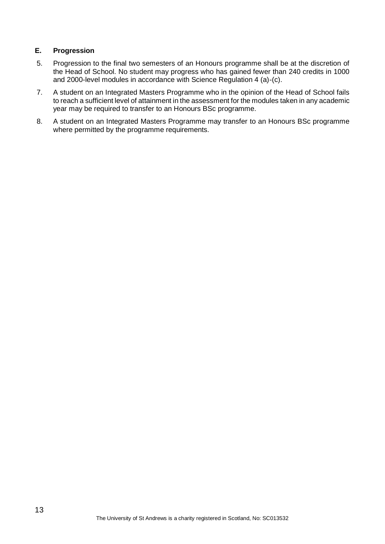# **E. Progression**

- 5. Progression to the final two semesters of an Honours programme shall be at the discretion of the Head of School. No student may progress who has gained fewer than 240 credits in 1000 and 2000-level modules in accordance with Science Regulation 4 (a)-(c).
- 7. A student on an Integrated Masters Programme who in the opinion of the Head of School fails to reach a sufficient level of attainment in the assessment for the modules taken in any academic year may be required to transfer to an Honours BSc programme.
- 8. A student on an Integrated Masters Programme may transfer to an Honours BSc programme where permitted by the programme requirements.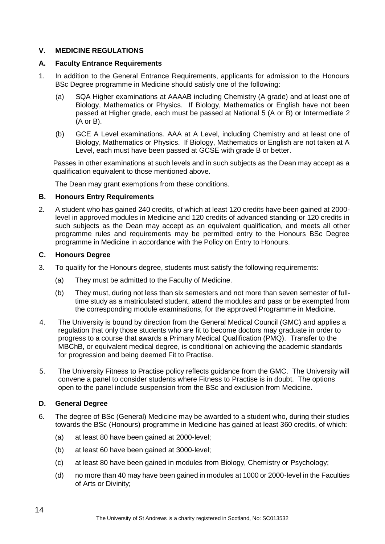# **V. MEDICINE REGULATIONS**

#### **A. Faculty Entrance Requirements**

- 1. In addition to the General Entrance Requirements, applicants for admission to the Honours BSc Degree programme in Medicine should satisfy one of the following:
	- (a) SQA Higher examinations at AAAAB including Chemistry (A grade) and at least one of Biology, Mathematics or Physics. If Biology, Mathematics or English have not been passed at Higher grade, each must be passed at National 5 (A or B) or Intermediate 2 (A or B).
	- (b) GCE A Level examinations. AAA at A Level, including Chemistry and at least one of Biology, Mathematics or Physics. If Biology, Mathematics or English are not taken at A Level, each must have been passed at GCSE with grade B or better.

Passes in other examinations at such levels and in such subjects as the Dean may accept as a qualification equivalent to those mentioned above.

The Dean may grant exemptions from these conditions.

#### **B. Honours Entry Requirements**

2. A student who has gained 240 credits, of which at least 120 credits have been gained at 2000 level in approved modules in Medicine and 120 credits of advanced standing or 120 credits in such subjects as the Dean may accept as an equivalent qualification, and meets all other programme rules and requirements may be permitted entry to the Honours BSc Degree programme in Medicine in accordance with the Policy on Entry to Honours.

#### **C. Honours Degree**

- 3. To qualify for the Honours degree, students must satisfy the following requirements:
	- (a) They must be admitted to the Faculty of Medicine.
	- (b) They must, during not less than six semesters and not more than seven semester of fulltime study as a matriculated student, attend the modules and pass or be exempted from the corresponding module examinations, for the approved Programme in Medicine.
- 4. The University is bound by direction from the General Medical Council (GMC) and applies a regulation that only those students who are fit to become doctors may graduate in order to progress to a course that awards a Primary Medical Qualification (PMQ). Transfer to the MBChB, or equivalent medical degree, is conditional on achieving the academic standards for progression and being deemed Fit to Practise.
- 5. The University Fitness to Practise policy reflects guidance from the GMC. The University will convene a panel to consider students where Fitness to Practise is in doubt. The options open to the panel include suspension from the BSc and exclusion from Medicine.

# **D. General Degree**

- 6. The degree of BSc (General) Medicine may be awarded to a student who, during their studies towards the BSc (Honours) programme in Medicine has gained at least 360 credits, of which:
	- (a) at least 80 have been gained at 2000-level;
	- (b) at least 60 have been gained at 3000-level;
	- (c) at least 80 have been gained in modules from Biology, Chemistry or Psychology;
	- (d) no more than 40 may have been gained in modules at 1000 or 2000-level in the Faculties of Arts or Divinity;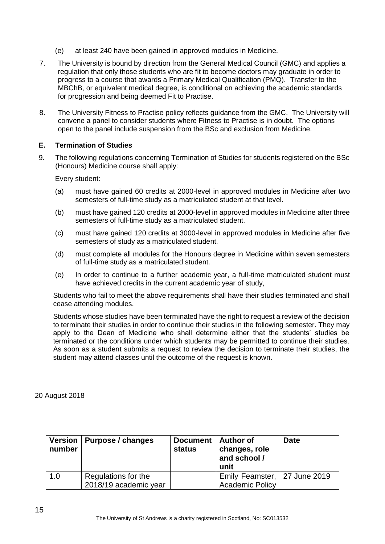- (e) at least 240 have been gained in approved modules in Medicine.
- 7. The University is bound by direction from the General Medical Council (GMC) and applies a regulation that only those students who are fit to become doctors may graduate in order to progress to a course that awards a Primary Medical Qualification (PMQ). Transfer to the MBChB, or equivalent medical degree, is conditional on achieving the academic standards for progression and being deemed Fit to Practise.
- 8. The University Fitness to Practise policy reflects guidance from the GMC. The University will convene a panel to consider students where Fitness to Practise is in doubt. The options open to the panel include suspension from the BSc and exclusion from Medicine.

# **E. Termination of Studies**

9. The following regulations concerning Termination of Studies for students registered on the BSc (Honours) Medicine course shall apply:

Every student:

- (a) must have gained 60 credits at 2000-level in approved modules in Medicine after two semesters of full-time study as a matriculated student at that level.
- (b) must have gained 120 credits at 2000-level in approved modules in Medicine after three semesters of full-time study as a matriculated student.
- (c) must have gained 120 credits at 3000-level in approved modules in Medicine after five semesters of study as a matriculated student.
- (d) must complete all modules for the Honours degree in Medicine within seven semesters of full-time study as a matriculated student.
- (e) In order to continue to a further academic year, a full-time matriculated student must have achieved credits in the current academic year of study,

Students who fail to meet the above requirements shall have their studies terminated and shall cease attending modules.

Students whose studies have been terminated have the right to request a review of the decision to terminate their studies in order to continue their studies in the following semester. They may apply to the Dean of Medicine who shall determine either that the students' studies be terminated or the conditions under which students may be permitted to continue their studies. As soon as a student submits a request to review the decision to terminate their studies, the student may attend classes until the outcome of the request is known.

20 August 2018

| number | Version   Purpose / changes                  | Document   Author of<br><b>status</b> | changes, role<br>and school /<br>unit                  | Date |
|--------|----------------------------------------------|---------------------------------------|--------------------------------------------------------|------|
| 1.0    | Regulations for the<br>2018/19 academic year |                                       | Emily Feamster, 27 June 2019<br><b>Academic Policy</b> |      |